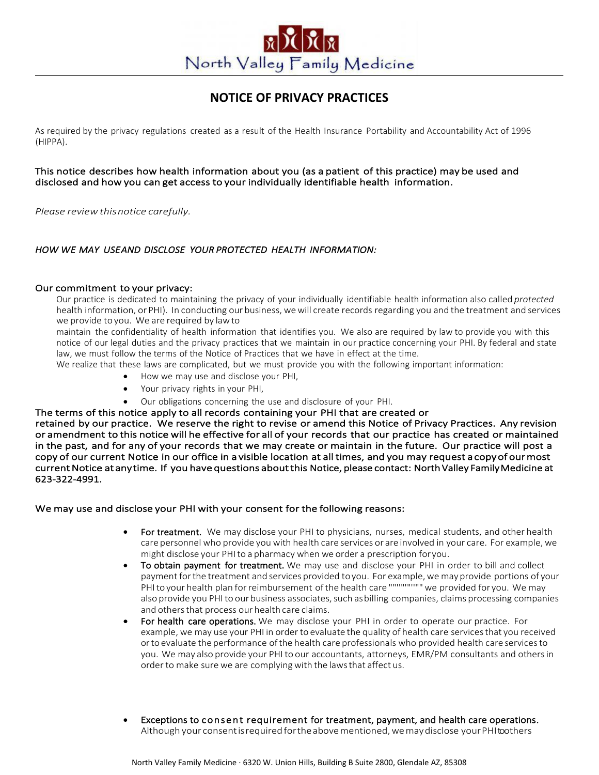# North Valley Family Medicine

## **NOTICE OF PRIVACY PRACTICES**

As required by the privacy regulations created as a result of the Health Insurance Portability and Accountability Act of 1996 (HIPPA).

This notice describes how health information about you (as a patient of this practice) may be used and disclosed and how you can get access to your individually identifiable health information.

*Please reviewthisnotice carefully.*

## *HOW WE MAY USEAND DISCLOSE YOUR PROTECTED HEALTH INFORMATION:*

## Our commitment to your privacy:

Our practice is dedicated to maintaining the privacy of your individually identifiable health information also called *protected* health information, or PHI). In conducting our business, wewill create records regarding you and the treatment and services we provide to you. We are required by lawto

maintain the confidentiality of health information that identifies you. We also are required by law to provide you with this notice of our legal duties and the privacy practices that we maintain in our practice concerning your PHI. By federal and state law, we must follow the terms of the Notice of Practices that we have in effect at the time.

We realize that these laws are complicated, but we must provide you with the following important information:

- How we may use and disclose your PHI,
- Your privacy rights in your PHI,
- Our obligations concerning the use and disclosure of your PHI.

The terms of this notice apply to all records containing your PHI that are created or

retained by our practice. We reserve the right to revise or amend this Notice of Privacy Practices. Any revision or amendment to this notice will he effective for all of your records that our practice has created or maintained in the past, and for any of your records that we may create or maintain in the future. Our practice will post a copy of our current Notice in our office in a visible location at all times, and you may request a copy of our most current Notice at any time. If you have questions about this Notice, please contact: North Valley Family Medicine at 623-322-4991.

## We may use and disclose your PHI with your consent for the following reasons:

- For treatment. We may disclose your PHI to physicians, nurses, medical students, and other health care personnel who provide you with health care services or are involved in your care. For example, we might disclose your PHIto a pharmacy when we order a prescription foryou.
- To obtain payment for treatment. We may use and disclose your PHI in order to bill and collect payment for the treatment and services provided to you. For example, we may provide portions of your PHI to your health plan for reimbursement of the health care ""'"""""""" we provided for you. We may also provide you PHI to our business associates, such as billing companies, claims processing companies and others that process our health care claims.
- For health care operations. We may disclose your PHI in order to operate our practice. For example, we may use your PHI in order to evaluate the quality of health care servicesthat you received orto evaluate the performance ofthe health care professionals who provided health care servicesto you. We may also provide your PHI to our accountants, attorneys, EMR/PM consultants and othersin order to make sure we are complying with the laws that affect us.
- Exceptions to consent requirement for treatment, payment, and health care operations. Although your consent is required for the above mentioned, we may disclose your PHI toothers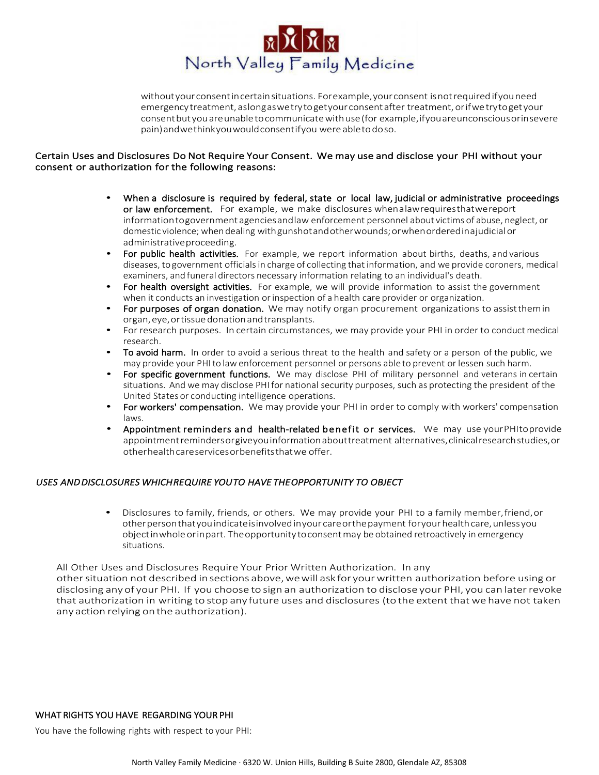

withoutyourconsentincertainsituations. Forexample,yourconsent isnotrequired ifyouneed emergencytreatment, aslongaswetrytogetyour consentafter treatment,orifwetrytogetyour consentbut youareunabletocommunicatewithuse(for example,ifyouareunconsciousorinsevere pain)andwethinkyouwouldconsentifyou were abletodoso.

## Certain Uses and Disclosures Do Not Require Your Consent. We may use and disclose your PHI without your consent or authorization for the following reasons:

- When a disclosure is required by federal, state or local law, judicial or administrative proceedings or law enforcement. For example, we make disclosures whenalawrequiresthatwereport informationtogovernmentagenciesandlaw enforcement personnel about victims of abuse, neglect, or domestic violence; when dealing withgunshotandotherwounds;orwhenorderedinajudicialor administrativeproceeding.
- For public health activities. For example, we report information about births, deaths, and various diseases, to government officialsin charge of collecting that information, and we provide coroners, medical examiners, and funeral directors necessary information relating to an individual's death.
- For health oversight activities. For example, we will provide information to assist the government when it conducts an investigation orinspection of a health care provider or organization.
- For purposes of organ donation. We may notify organ procurement organizations to assist them in organ,eye,ortissuedonationandtransplants.
- For research purposes. In certain circumstances, we may provide your PHI in order to conduct medical research.
- To avoid harm. In order to avoid a serious threat to the health and safety or a person of the public, we may provide your PHIto lawenforcement personnel or persons able to prevent or lessen such harm.
- For specific government functions. We may disclose PHI of military personnel and veterans in certain situations. And we may disclose PHIfor national security purposes, such as protecting the president of the United States or conducting intelligence operations.
- For workers' compensation. We may provide your PHI in order to comply with workers' compensation laws.
- Appointment reminders and health-related benefit or services. We may use yourPHItoprovide appointmentremindersorgiveyouinformationabouttreatment alternatives,clinicalresearchstudies,or otherhealthcareservicesorbenefitsthatwe offer.

## *USES AND DISCLOSURES WHICH REQUIRE YOU TO HAVE THE OPPORTUNITY TO OBJECT*

• Disclosures to family, friends, or others. We may provide your PHI to a family member,friend,or other person that you indicate is involved in your care or the payment for your health care, unless you objectinwholeorinpart. Theopportunity toconsentmay be obtained retroactively in emergency situations.

All Other Uses and Disclosures Require Your Prior Written Authorization. In any other situation not described in sections above, we will ask for your written authorization before using or disclosing anyof your PHI. If you choose to sign an authorization to disclose your PHI, you can laterrevoke that authorization in writing to stop any future uses and disclosures (to the extent that we have not taken any action relying onthe authorization).

## WHAT RIGHTS YOU HAVE REGARDING YOUR PHI

You have the following rights with respect to your PHI: